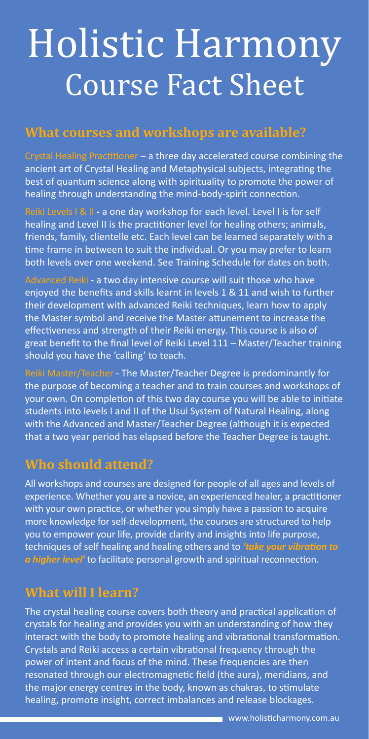# Holistic Harmony Course Fact Sheet

## **What courses and workshops are available?**

Crystal Healing Practitioner – a three day accelerated course combining the ancient art of Crystal Healing and Metaphysical subjects, integrating the best of quantum science along with spirituality to promote the power of healing through understanding the mind-body-spirit connection.

Reiki Levels I & II **-** a one day workshop for each level. Level I is for self healing and Level II is the practitioner level for healing others; animals, friends, family, clientelle etc. Each level can be learned separately with a time frame in between to suit the individual. Or you may prefer to learn both levels over one weekend. See Training Schedule for dates on both.

Advanced Reiki - a two day intensive course will suit those who have enjoyed the benefits and skills learnt in levels 1 & 11 and wish to further their development with advanced Reiki techniques, learn how to apply the Master symbol and receive the Master attunement to increase the effectiveness and strength of their Reiki energy. This course is also of great benefit to the final level of Reiki Level 111 – Master/Teacher training should you have the 'calling' to teach.

Reiki Master/Teacher - The Master/Teacher Degree is predominantly for the purpose of becoming a teacher and to train courses and workshops of your own. On completion of this two day course you will be able to initiate students into levels I and II of the Usui System of Natural Healing, along with the Advanced and Master/Teacher Degree (although it is expected that a two year period has elapsed before the Teacher Degree is taught.

# **Who should attend?**

All workshops and courses are designed for people of all ages and levels of experience. Whether you are a novice, an experienced healer, a practitioner with your own practice, or whether you simply have a passion to acquire more knowledge for self-development, the courses are structured to help you to empower your life, provide clarity and insights into life purpose, techniques of self healing and healing others and to *'take your vibration to a higher level'* to facilitate personal growth and spiritual reconnection.

# **What will I learn?**

The crystal healing course covers both theory and practical application of crystals for healing and provides you with an understanding of how they interact with the body to promote healing and vibrational transformation. Crystals and Reiki access a certain vibrational frequency through the power of intent and focus of the mind. These frequencies are then resonated through our electromagnetic field (the aura), meridians, and the major energy centres in the body, known as chakras, to stimulate healing, promote insight, correct imbalances and release blockages.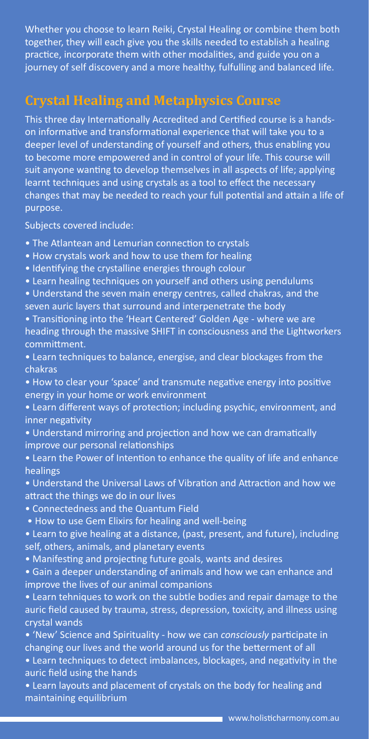Whether you choose to learn Reiki, Crystal Healing or combine them both together, they will each give you the skills needed to establish a healing practice, incorporate them with other modalities, and guide you on a journey of self discovery and a more healthy, fulfulling and balanced life.

# **Crystal Healing and Metaphysics Course**

This three day Internationally Accredited and Certified course is a handson informative and transformational experience that will take you to a deeper level of understanding of yourself and others, thus enabling you to become more empowered and in control of your life. This course will suit anyone wanting to develop themselves in all aspects of life; applying learnt techniques and using crystals as a tool to effect the necessary changes that may be needed to reach your full potential and attain a life of purpose.

Subjects covered include:

- The Atlantean and Lemurian connection to crystals
- How crystals work and how to use them for healing
- Identifying the crystalline energies through colour
- Learn healing techniques on yourself and others using pendulums
- Understand the seven main energy centres, called chakras, and the seven auric layers that surround and interpenetrate the body
- Transitioning into the 'Heart Centered' Golden Age where we are heading through the massive SHIFT in consciousness and the Lightworkers committment.
- Learn techniques to balance, energise, and clear blockages from the chakras
- How to clear your 'space' and transmute negative energy into positive energy in your home or work environment
- Learn different ways of protection; including psychic, environment, and inner negativity
- Understand mirroring and projection and how we can dramatically improve our personal relationships
- Learn the Power of Intention to enhance the quality of life and enhance healings
- Understand the Universal Laws of Vibration and Attraction and how we attract the things we do in our lives
- Connectedness and the Quantum Field
- How to use Gem Elixirs for healing and well-being
- Learn to give healing at a distance, (past, present, and future), including self, others, animals, and planetary events
- Manifesting and projecting future goals, wants and desires
- Gain a deeper understanding of animals and how we can enhance and improve the lives of our animal companions
- Learn tehniques to work on the subtle bodies and repair damage to the auric field caused by trauma, stress, depression, toxicity, and illness using crystal wands
- 'New' Science and Spirituality how we can *consciously* participate in changing our lives and the world around us for the betterment of all
- Learn techniques to detect imbalances, blockages, and negativity in the auric field using the hands
- Learn layouts and placement of crystals on the body for healing and maintaining equilibrium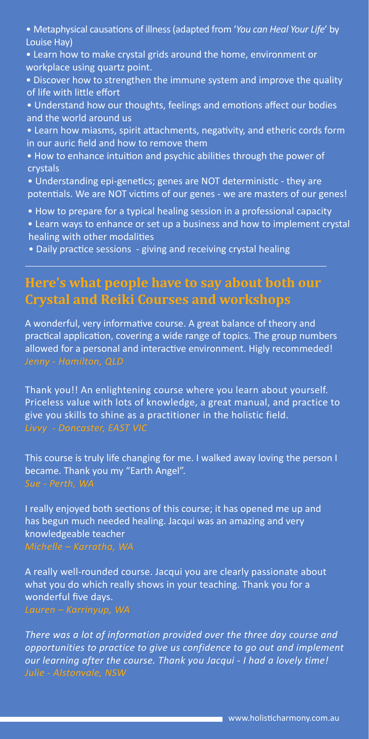- Metaphysical causations of illness (adapted from '*You can Heal Your Life*' by Louise Hay)
- Learn how to make crystal grids around the home, environment or workplace using quartz point.
- Discover how to strengthen the immune system and improve the quality of life with little effort
- Understand how our thoughts, feelings and emotions affect our bodies and the world around us
- Learn how miasms, spirit attachments, negativity, and etheric cords form in our auric field and how to remove them
- How to enhance intuition and psychic abilities through the power of crystals
- Understanding epi-genetics; genes are NOT deterministic they are potentials. We are NOT victims of our genes - we are masters of our genes!
- How to prepare for a typical healing session in a professional capacity
- Learn ways to enhance or set up a business and how to implement crystal healing with other modalities
- Daily practice sessions giving and receiving crystal healing

## **Here's what people have to say about both our Crystal and Reiki Courses and workshops**

A wonderful, very informative course. A great balance of theory and practical application, covering a wide range of topics. The group numbers allowed for a personal and interactive environment. Higly recommeded! *Jenny - Hamilton, QLD*

Thank you!! An enlightening course where you learn about yourself. Priceless value with lots of knowledge, a great manual, and practice to give you skills to shine as a practitioner in the holistic field.

This course is truly life changing for me. I walked away loving the person I became. Thank you my "Earth Angel".

I really enjoyed both sections of this course; it has opened me up and has begun much needed healing. Jacqui was an amazing and very knowledgeable teacher *Michelle – Karratha, WA*

A really well-rounded course. Jacqui you are clearly passionate about what you do which really shows in your teaching. Thank you for a wonderful five days. *Lauren – Karrinyup, WA*

*There was a lot of information provided over the three day course and opportunities to practice to give us confidence to go out and implement our learning after the course. Thank you Jacqui - I had a lovely time!*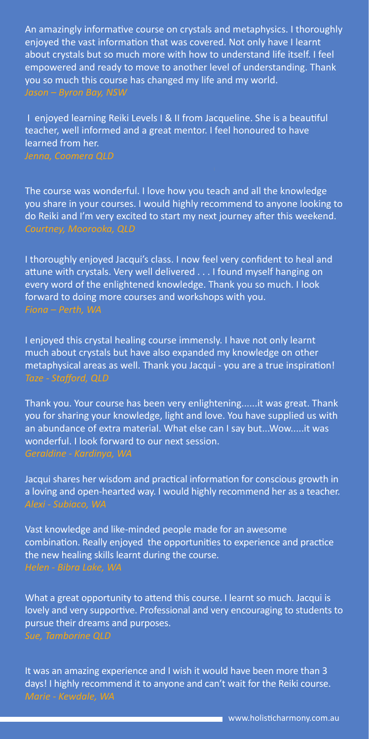An amazingly informative course on crystals and metaphysics. I thoroughly enjoyed the vast information that was covered. Not only have I learnt about crystals but so much more with how to understand life itself. I feel empowered and ready to move to another level of understanding. Thank you so much this course has changed my life and my world. *Jason – Byron Bay, NSW*

I enjoyed learning Reiki Levels I & II from Jacqueline. She is a beautiful teacher, well informed and a great mentor. I feel honoured to have learned from her.

The course was wonderful. I love how you teach and all the knowledge you share in your courses. I would highly recommend to anyone looking to do Reiki and I'm very excited to start my next journey after this weekend. *Courtney, Moorooka, QLD* 

I thoroughly enjoyed Jacqui's class. I now feel very confident to heal and attune with crystals. Very well delivered . . . I found myself hanging on every word of the enlightened knowledge. Thank you so much. I look forward to doing more courses and workshops with you. *Fiona – Perth, WA*

I enjoyed this crystal healing course immensly. I have not only learnt much about crystals but have also expanded my knowledge on other metaphysical areas as well. Thank you Jacqui - you are a true inspiration! *Taze - Stafford, QLD*

Thank you. Your course has been very enlightening......it was great. Thank you for sharing your knowledge, light and love. You have supplied us with an abundance of extra material. What else can I say but...Wow.....it was wonderful. I look forward to our next session.

Jacqui shares her wisdom and practical information for conscious growth in a loving and open-hearted way. I would highly recommend her as a teacher. *Alexi - Subiaco, WA*

Vast knowledge and like-minded people made for an awesome combination. Really enjoyed the opportunities to experience and practice the new healing skills learnt during the course.

What a great opportunity to attend this course. I learnt so much. Jacqui is lovely and very supportive. Professional and very encouraging to students to pursue their dreams and purposes.

It was an amazing experience and I wish it would have been more than 3 days! I highly recommend it to anyone and can't wait for the Reiki course. *Marie - Kewdale, WA*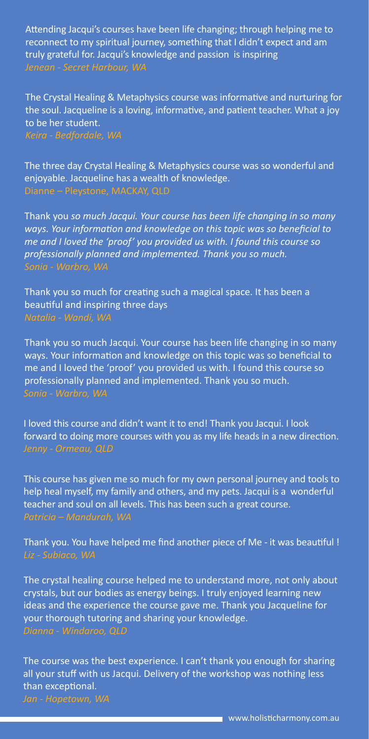Attending Jacqui's courses have been life changing; through helping me to reconnect to my spiritual journey, something that I didn't expect and am truly grateful for. Jacqui's knowledge and passion is inspiring

The Crystal Healing & Metaphysics course was informative and nurturing for the soul. Jacqueline is a loving, informative, and patient teacher. What a joy to be her student.

The three day Crystal Healing & Metaphysics course was so wonderful and enjoyable. Jacqueline has a wealth of knowledge.

Thank you *so much Jacqui. Your course has been life changing in so many ways. Your information and knowledge on this topic was so beneficial to me and I loved the 'proof' you provided us with. I found this course so professionally planned and implemented. Thank you so much. Sonia - Warbro, WA*

Thank you so much for creating such a magical space. It has been a beautiful and inspiring three days *Natalia - Wandi, WA*

Thank you so much Jacqui. Your course has been life changing in so many ways. Your information and knowledge on this topic was so beneficial to me and I loved the 'proof' you provided us with. I found this course so professionally planned and implemented. Thank you so much.

I loved this course and didn't want it to end! Thank you Jacqui. I look forward to doing more courses with you as my life heads in a new direction.

This course has given me so much for my own personal journey and tools to help heal myself, my family and others, and my pets. Jacqui is a wonderful teacher and soul on all levels. This has been such a great course. *Patricia – Mandurah, WA*

Thank you. You have helped me find another piece of Me - it was beautiful ! *Liz - Subiaco, WA*

The crystal healing course helped me to understand more, not only about crystals, but our bodies as energy beings. I truly enjoyed learning new ideas and the experience the course gave me. Thank you Jacqueline for your thorough tutoring and sharing your knowledge. *Dianna - Windaroo, QLD*

The course was the best experience. I can't thank you enough for sharing all your stuff with us Jacqui. Delivery of the workshop was nothing less than exceptional.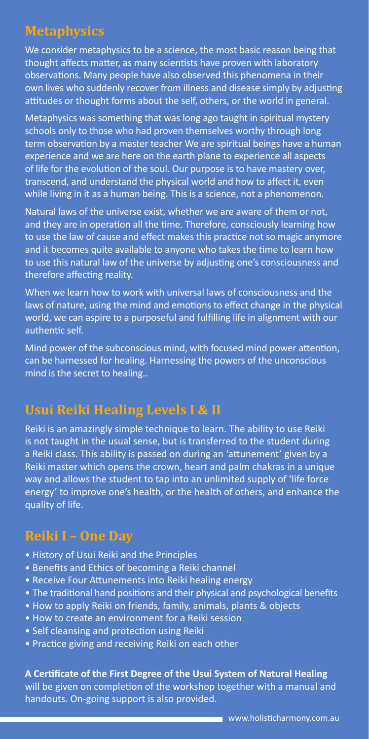# **Metaphysics**

We consider metaphysics to be a science, the most basic reason being that thought affects matter, as many scientists have proven with laboratory observations. Many people have also observed this phenomena in their own lives who suddenly recover from illness and disease simply by adjusting attitudes or thought forms about the self, others, or the world in general.

Metaphysics was something that was long ago taught in spiritual mystery schools only to those who had proven themselves worthy through long term observation by a master teacher We are spiritual beings have a human experience and we are here on the earth plane to experience all aspects of life for the evolution of the soul. Our purpose is to have mastery over, transcend, and understand the physical world and how to affect it, even while living in it as a human being. This is a science, not a phenomenon.

Natural laws of the universe exist, whether we are aware of them or not, and they are in operation all the time. Therefore, consciously learning how to use the law of cause and effect makes this practice not so magic anymore and it becomes quite available to anyone who takes the time to learn how to use this natural law of the universe by adjusting one's consciousness and therefore affecting reality.

When we learn how to work with universal laws of consciousness and the laws of nature, using the mind and emotions to effect change in the physical world, we can aspire to a purposeful and fulfilling life in alignment with our authentic self.

Mind power of the subconscious mind, with focused mind power attention, can be harnessed for healing. Harnessing the powers of the unconscious mind is the secret to healing..

# **Usui Reiki Healing Levels I & II**

Reiki is an amazingly simple technique to learn. The ability to use Reiki is not taught in the usual sense, but is transferred to the student during a Reiki class. This ability is passed on during an 'attunement' given by a Reiki master which opens the crown, heart and palm chakras in a unique way and allows the student to tap into an unlimited supply of 'life force energy' to improve one's health, or the health of others, and enhance the quality of life.

## **Reiki I – One Day**

- History of Usui Reiki and the Principles
- Benefits and Ethics of becoming a Reiki channel
- Receive Four Attunements into Reiki healing energy
- The traditional hand positions and their physical and psychological benefits
- How to apply Reiki on friends, family, animals, plants & objects
- How to create an environment for a Reiki session
- Self cleansing and protection using Reiki
- Practice giving and receiving Reiki on each other

#### **A Certificate of the First Degree of the Usui System of Natural Healing**

will be given on completion of the workshop together with a manual and handouts. On-going support is also provided.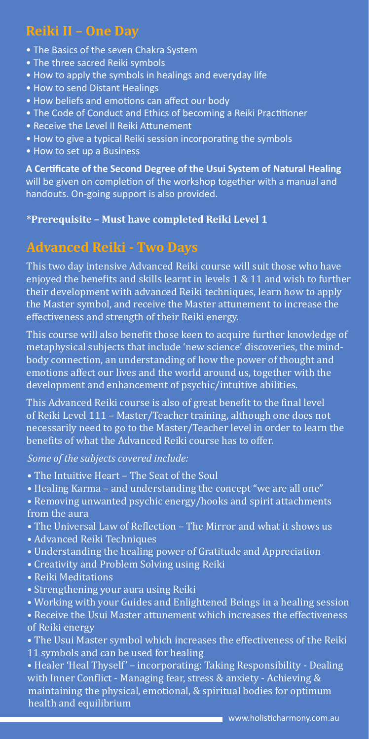# **Reiki II – One Day**

- The Basics of the seven Chakra System
- The three sacred Reiki symbols
- How to apply the symbols in healings and everyday life
- How to send Distant Healings
- How beliefs and emotions can affect our body
- The Code of Conduct and Ethics of becoming a Reiki Practitioner
- Receive the Level II Reiki Attunement
- How to give a typical Reiki session incorporating the symbols
- How to set up a Business

**A Certificate of the Second Degree of the Usui System of Natural Healing**  will be given on completion of the workshop together with a manual and handouts. On-going support is also provided.

#### **\*Prerequisite – Must have completed Reiki Level 1**

## **Advanced Reiki - Two Days**

This two day intensive Advanced Reiki course will suit those who have enjoyed the benefits and skills learnt in levels 1 & 11 and wish to further their development with advanced Reiki techniques, learn how to apply the Master symbol, and receive the Master attunement to increase the effectiveness and strength of their Reiki energy.

This course will also benefit those keen to acquire further knowledge of metaphysical subjects that include 'new science' discoveries, the mindbody connection, an understanding of how the power of thought and emotions affect our lives and the world around us, together with the development and enhancement of psychic/intuitive abilities.

This Advanced Reiki course is also of great benefit to the final level of Reiki Level 111 – Master/Teacher training, although one does not necessarily need to go to the Master/Teacher level in order to learn the benefits of what the Advanced Reiki course has to offer.

*Some of the subjects covered include:*

- The Intuitive Heart The Seat of the Soul
- Healing Karma and understanding the concept "we are all one"
- Removing unwanted psychic energy/hooks and spirit attachments from the aura
- The Universal Law of Reflection The Mirror and what it shows us
- Advanced Reiki Techniques
- Understanding the healing power of Gratitude and Appreciation
- Creativity and Problem Solving using Reiki
- Reiki Meditations
- Strengthening your aura using Reiki
- Working with your Guides and Enlightened Beings in a healing session

• Receive the Usui Master attunement which increases the effectiveness of Reiki energy

- The Usui Master symbol which increases the effectiveness of the Reiki
- 11 symbols and can be used for healing

• Healer 'Heal Thyself' – incorporating: Taking Responsibility - Dealing with Inner Conflict - Managing fear, stress & anxiety - Achieving & maintaining the physical, emotional, & spiritual bodies for optimum health and equilibrium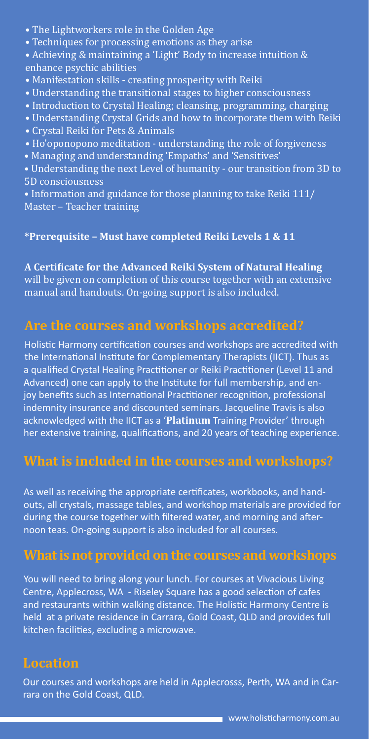- The Lightworkers role in the Golden Age
- Techniques for processing emotions as they arise
- Achieving & maintaining a 'Light' Body to increase intuition & enhance psychic abilities
- Manifestation skills creating prosperity with Reiki
- Understanding the transitional stages to higher consciousness
- Introduction to Crystal Healing; cleansing, programming, charging
- Understanding Crystal Grids and how to incorporate them with Reiki
- Crystal Reiki for Pets & Animals
- Ho'oponopono meditation understanding the role of forgiveness
- Managing and understanding 'Empaths' and 'Sensitives'
- Understanding the next Level of humanity our transition from 3D to 5D consciousness
- Information and guidance for those planning to take Reiki 111/ Master – Teacher training

#### **\*Prerequisite – Must have completed Reiki Levels 1 & 11**

**A Certificate for the Advanced Reiki System of Natural Healing** will be given on completion of this course together with an extensive manual and handouts. On-going support is also included.

## **Are the courses and workshops accredited?**

Holistic Harmony certification courses and workshops are accredited with the International Institute for Complementary Therapists (IICT). Thus as a qualified Crystal Healing Practitioner or Reiki Practitioner (Level 11 and Advanced) one can apply to the Institute for full membership, and enjoy benefits such as International Practitioner recognition, professional indemnity insurance and discounted seminars. Jacqueline Travis is also acknowledged with the IICT as a '**Platinum** Training Provider' through her extensive training, qualifications, and 20 years of teaching experience.

# **What is included in the courses and workshops?**

As well as receiving the appropriate certificates, workbooks, and handouts, all crystals, massage tables, and workshop materials are provided for during the course together with filtered water, and morning and afternoon teas. On-going support is also included for all courses.

## **What is not provided on the courses and workshops**

You will need to bring along your lunch. For courses at Vivacious Living Centre, Applecross, WA - Riseley Square has a good selection of cafes and restaurants within walking distance. The Holistic Harmony Centre is held at a private residence in Carrara, Gold Coast, QLD and provides full kitchen facilities, excluding a microwave.

#### **Location**

Our courses and workshops are held in Applecrosss, Perth, WA and in Carrara on the Gold Coast, QLD.